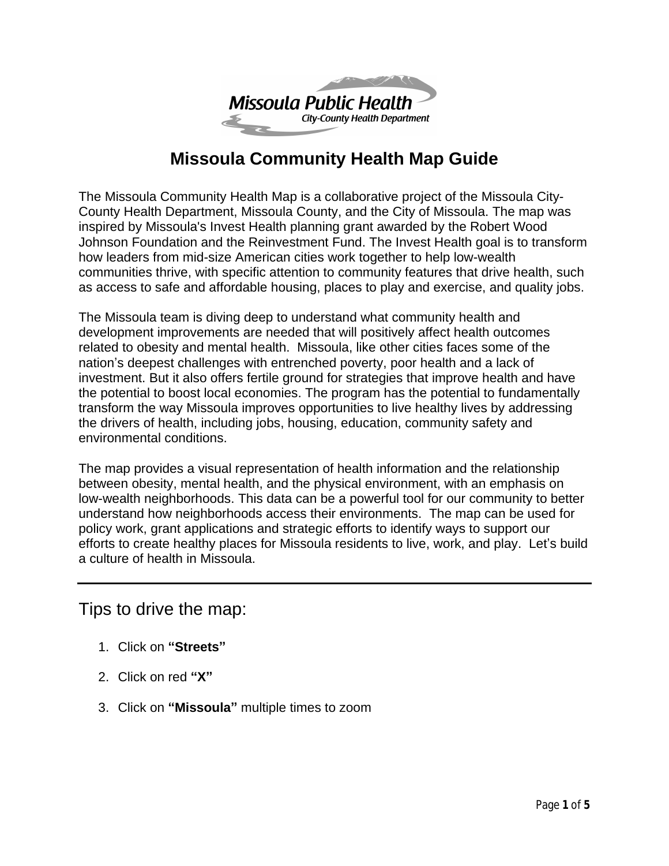

## **Missoula Community Health Map Guide**

The Missoula Community Health Map is a collaborative project of the Missoula City-County Health Department, Missoula County, and the City of Missoula. The map was inspired by Missoula's Invest Health planning grant awarded by the Robert Wood Johnson Foundation and the Reinvestment Fund. The Invest Health goal is to transform how leaders from mid-size American cities work together to help low-wealth communities thrive, with specific attention to community features that drive health, such as access to safe and affordable housing, places to play and exercise, and quality jobs.

The Missoula team is diving deep to understand what community health and development improvements are needed that will positively affect health outcomes related to obesity and mental health. Missoula, like other cities faces some of the nation's deepest challenges with entrenched poverty, poor health and a lack of investment. But it also offers fertile ground for strategies that improve health and have the potential to boost local economies. The program has the potential to fundamentally transform the way Missoula improves opportunities to live healthy lives by addressing the drivers of health, including jobs, housing, education, community safety and environmental conditions.

The map provides a visual representation of health information and the relationship between obesity, mental health, and the physical environment, with an emphasis on low-wealth neighborhoods. This data can be a powerful tool for our community to better understand how neighborhoods access their environments. The map can be used for policy work, grant applications and strategic efforts to identify ways to support our efforts to create healthy places for Missoula residents to live, work, and play. Let's build a culture of health in Missoula.

## Tips to drive the map:

- 1. Click on **"Streets"**
- 2. Click on red **"X"**
- 3. Click on **"Missoula"** multiple times to zoom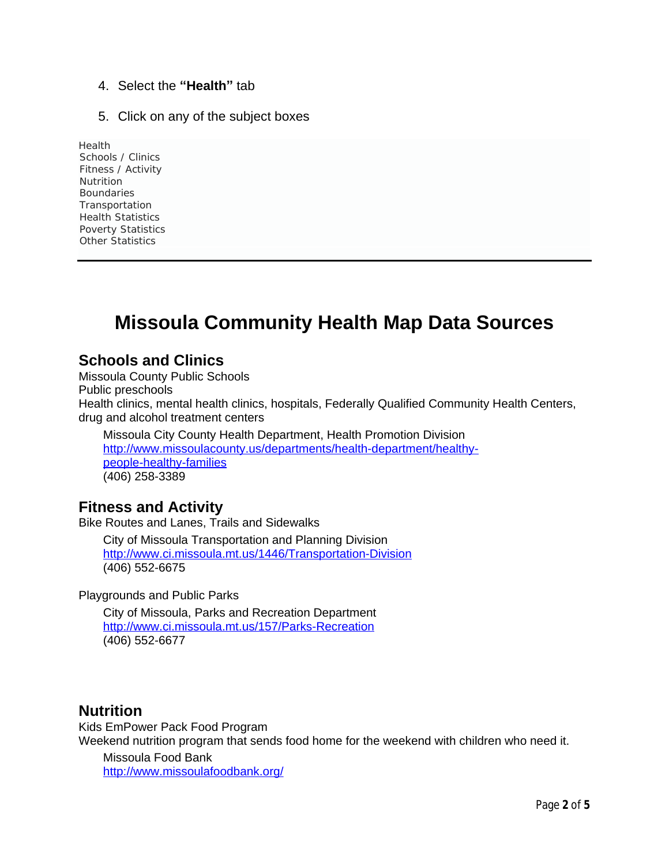- 4. Select the **"Health"** tab
- 5. Click on any of the subject boxes
- Health Schools / Clinics Fitness / Activity Nutrition Boundaries Transportation Health Statistics Poverty Statistics Other Statistics

# **Missoula Community Health Map Data Sources**

#### **Schools and Clinics**

Missoula County Public Schools Public preschools Health clinics, mental health clinics, hospitals, Federally Qualified Community Health Centers, drug and alcohol treatment centers

Missoula City County Health Department, Health Promotion Division [http://www.missoulacounty.us/departments/health-department/healthy](http://www.missoulacounty.us/departments/health-department/healthy-people-healthy-families)people-healthy-families (406) 258-3389

#### **Fitness and Activity**

Bike Routes and Lanes, Trails and Sidewalks

City of Missoula Transportation and Planning Division <http://www.ci.missoula.mt.us/1446/Transportation-Division> (406) 552-6675

Playgrounds and Public Parks

City of Missoula, Parks and Recreation Department <http://www.ci.missoula.mt.us/157/Parks-Recreation> [\(406\) 552-6677](http://www.ci.missoula.mt.us/157/Parks-Recreation)

#### **[Nutrition](http://www.ci.missoula.mt.us/157/Parks-Recreation)**

[Kids EmPower](http://www.ci.missoula.mt.us/157/Parks-Recreation) [Pack Food Program](http://www.ci.missoula.mt.us/157/Parks-Recreation) [Weekend nutrition program that sends food home for the weekend with children who need it.](http://www.ci.missoula.mt.us/157/Parks-Recreation)

[Missoula Food Bank](http://www.ci.missoula.mt.us/157/Parks-Recreation) <http://www.missoulafoodbank.org/>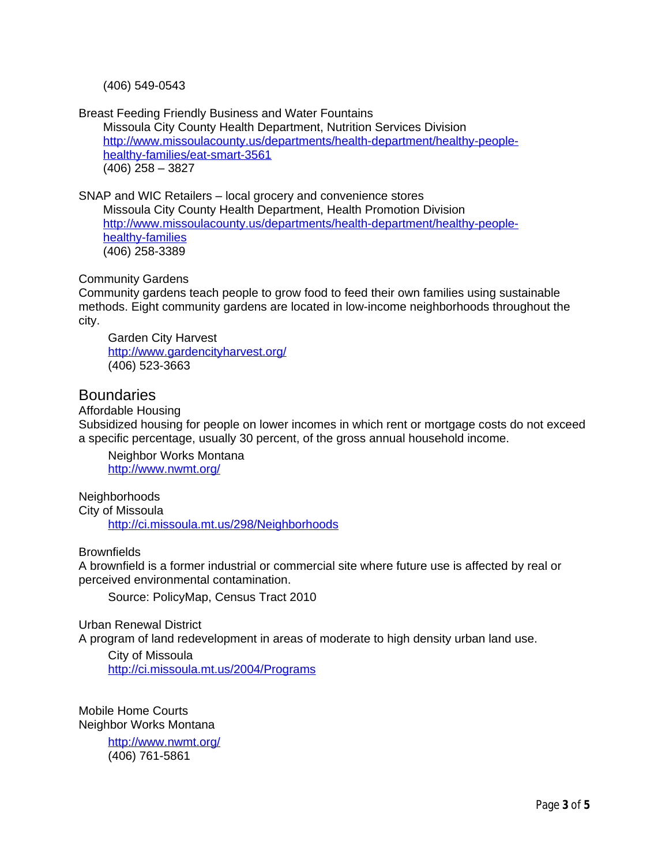(406) 549-0543

Breast Feeding Friendly Business and Water Fountains

Missoula City County Health Department, Nutrition Services Division [http://www.missoulacounty.us/departments/health-department/healthy-people](http://www.missoulacounty.us/departments/health-department/healthy-people-healthy-families/eat-smart-3561)healthy-families/eat-smart-3561 (406) 258 – 3827

SNAP and WIC Retailers – local grocery and convenience stores

Missoula City County Health Department, Health Promotion Division [http://www.missoulacounty.us/departments/health-department/healthy-people](http://www.missoulacounty.us/departments/health-department/healthy-people-healthy-families)healthy-families (406) 258-3389

#### Community Gardens

Community gardens teach people to grow food to feed their own families using sustainable methods. Eight community gardens are located in low-income neighborhoods throughout the city.

Garden City Harvest <http://www.gardencityharvest.org/> (406) 523-3663

#### **Boundaries**

Affordable Housing

Subsidized housing for people on lower incomes in which rent or mortgage costs do not exceed a specific percentage, usually 30 percent, of the gross annual household income.

Neighbor Works Montana <http://www.nwmt.org/>

Neighborhoods City of Missoula <http://ci.missoula.mt.us/298/Neighborhoods>

#### **Brownfields**

A brownfield is a former industrial or commercial site where future use is affected by real or perceived environmental contamination.

Source: PolicyMap, Census Tract 2010

Urban Renewal District

A program of land redevelopment in areas of moderate to high density urban land use.

City of Missoula <http://ci.missoula.mt.us/2004/Programs>

Mobile Home Courts Neighbor Works Montana

> <http://www.nwmt.org/> (406) 761-5861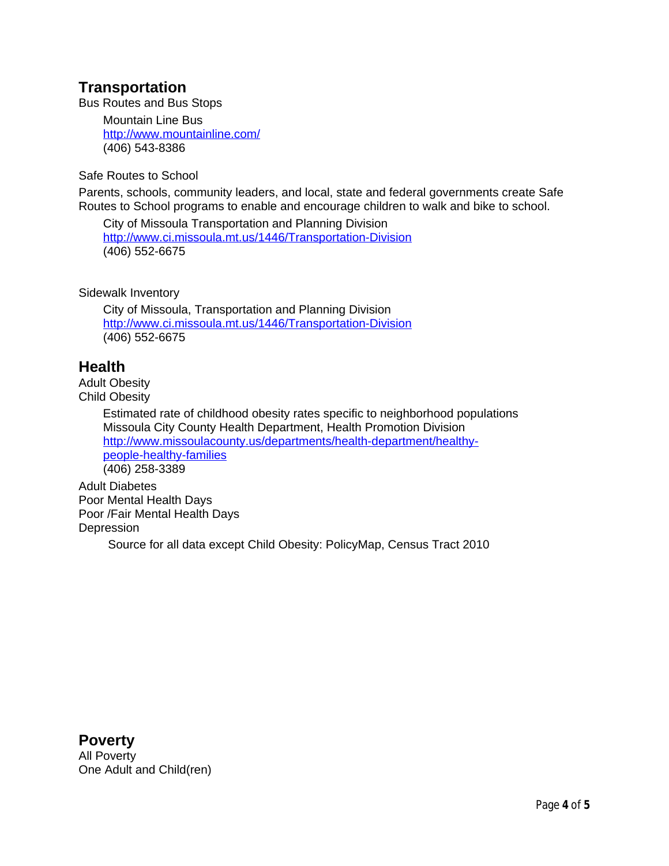### **Transportation**

Bus Routes and Bus Stops

Mountain Line Bus <http://www.mountainline.com/> (406) 543-8386

Safe Routes to School

Parents, schools, community leaders, and local, state and federal governments create Safe Routes to School programs to enable and encourage children to walk and bike to school.

City of Missoula Transportation and Planning Division <http://www.ci.missoula.mt.us/1446/Transportation-Division> (406) 552-6675

Sidewalk Inventory

City of Missoula, Transportation and Planning Division <http://www.ci.missoula.mt.us/1446/Transportation-Division> (406) 552-6675

#### **Health**

Adult Obesity Child Obesity

> Estimated rate of childhood obesity rates specific to neighborhood populations Missoula City County Health Department, Health Promotion Division [http://www.missoulacounty.us/departments/health-department/healthy](http://www.missoulacounty.us/departments/health-department/healthy-people-healthy-families)people-healthy-families (406) 258-3389

Adult Diabetes Poor Mental Health Days Poor /Fair Mental Health Days **Depression** 

Source for all data except Child Obesity: PolicyMap, Census Tract 2010

#### **Poverty**

All Poverty One Adult and Child(ren)